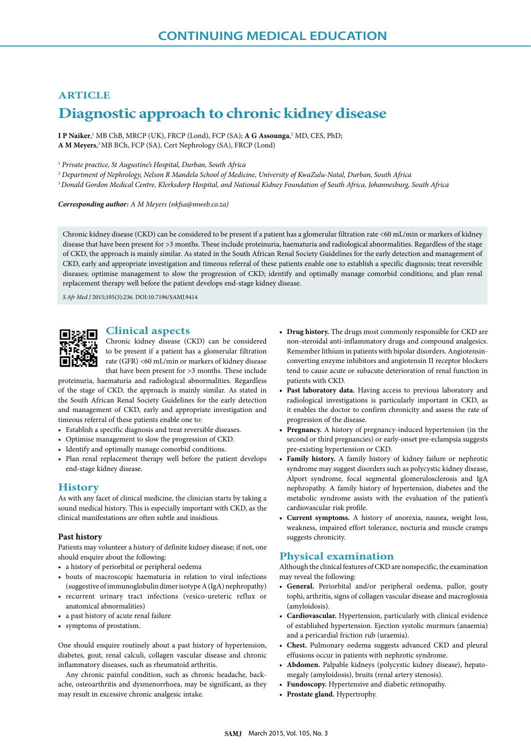# **ARTICLE Diagnostic approach to chronic kidney disease**

**I P Naiker**,<sup>1</sup> MB ChB, MRCP (UK), FRCP (Lond), FCP (SA); **A G Assounga**,<sup>2</sup> MD, CES, PhD; **A M Meyers**, 3 MB BCh, FCP (SA), Cert Nephrology (SA), FRCP (Lond)

<sup>1</sup> *Private practice, St Augustine's Hospital, Durban, South Africa*

<sup>2</sup> *Department of Nephrology, Nelson R Mandela School of Medicine, University of KwaZulu-Natal, Durban, South Africa*

<sup>3</sup>*Donald Gordon Medical Centre, Klerksdorp Hospital, and National Kidney Foundation of South Africa, Johannesburg, South Africa*

*Corresponding author: A M Meyers (nkfsa@mweb.co.za)*

Chronic kidney disease (CKD) can be considered to be present if a patient has a glomerular filtration rate <60 mL/min or markers of kidney disease that have been present for >3 months. These include proteinuria, haematuria and radiological abnormalities. Regardless of the stage of CKD, the approach is mainly similar. As stated in the South African Renal Society Guidelines for the early detection and management of CKD, early and appropriate investigation and timeous referral of these patients enable one to establish a specific diagnosis; treat reversible diseases; optimise management to slow the progression of CKD; identify and optimally manage comorbid conditions; and plan renal replacement therapy well before the patient develops end-stage kidney disease.

*S Afr Med J* 2015;105(3):236. DOI:10.7196/SAMJ.9414



# **Clinical aspects**

Chronic kidney disease (CKD) can be considered to be present if a patient has a glomerular filtration rate (GFR) <60 mL/min or markers of kidney disease that have been present for >3 months. These include

proteinuria, haematuria and radiological abnormalities. Regardless of the stage of CKD, the approach is mainly similar. As stated in the South African Renal Society Guidelines for the early detection and management of CKD, early and appropriate investigation and timeous referral of these patients enable one to:

- Establish a specific diagnosis and treat reversible diseases.
- Optimise management to slow the progression of CKD.
- Identify and optimally manage comorbid conditions.
- Plan renal replacement therapy well before the patient develops end-stage kidney disease.

## **History**

As with any facet of clinical medicine, the clinician starts by taking a sound medical history. This is especially important with CKD, as the clinical manifestations are often subtle and insidious.

## **Past history**

Patients may volunteer a history of definite kidney disease; if not, one should enquire about the following:

- a history of periorbital or peripheral oedema
- bouts of macroscopic haematuria in relation to viral infections (suggestive of immunoglobulin dimer isotype A (IgA) nephropathy)
- recurrent urinary tract infections (vesico-ureteric reflux or anatomical abnormalities)
- a past history of acute renal failure
- symptoms of prostatism.

One should enquire routinely about a past history of hypertension, diabetes, gout, renal calculi, collagen vascular disease and chronic inflammatory diseases, such as rheumatoid arthritis.

Any chronic painful condition, such as chronic headache, backache, osteoarthritis and dysmenorrhoea, may be significant, as they may result in excessive chronic analgesic intake.

- **• Drug history.** The drugs most commonly responsible for CKD are non-steroidal anti-inflammatory drugs and compound analgesics. Remember lithium in patients with bipolar disorders. Angiotensinconverting enzyme inhibitors and angiotensin II receptor blockers tend to cause acute or subacute deterioration of renal function in patients with CKD.
- Past laboratory data. Having access to previous laboratory and radiological investigations is particularly important in CKD, as it enables the doctor to confirm chronicity and assess the rate of progression of the disease.
- **• Pregnancy.** A history of pregnancy-induced hypertension (in the second or third pregnancies) or early-onset pre-eclampsia suggests pre-existing hypertension or CKD.
- **• Family history.** A family history of kidney failure or nephrotic syndrome may suggest disorders such as polycystic kidney disease, Alport syndrome, focal segmental glomerulosclerosis and IgA nephropathy. A family history of hypertension, diabetes and the metabolic syndrome assists with the evaluation of the patient's cardiovascular risk profile.
- **• Current symptoms.** A history of anorexia, nausea, weight loss, weakness, impaired effort tolerance, nocturia and muscle cramps suggests chronicity.

# **Physical examination**

Although the clinical features of CKD are nonspecific, the examination may reveal the following:

- **General.** Periorbital and/or peripheral oedema, pallor, gouty tophi, arthritis, signs of collagen vascular disease and macroglossia (amyloidosis).
- **Cardiovascular.** Hypertension, particularly with clinical evidence of established hypertension. Ejection systolic murmurs (anaemia) and a pericardial friction rub (uraemia).
- **Chest.** Pulmonary oedema suggests advanced CKD and pleural effusions occur in patients with nephrotic syndrome.
- **Abdomen.** Palpable kidneys (polycystic kidney disease), hepatomegaly (amyloidosis), bruits (renal artery stenosis).
- **Fundoscopy.** Hypertensive and diabetic retinopathy.
- **Prostate gland.** Hypertrophy.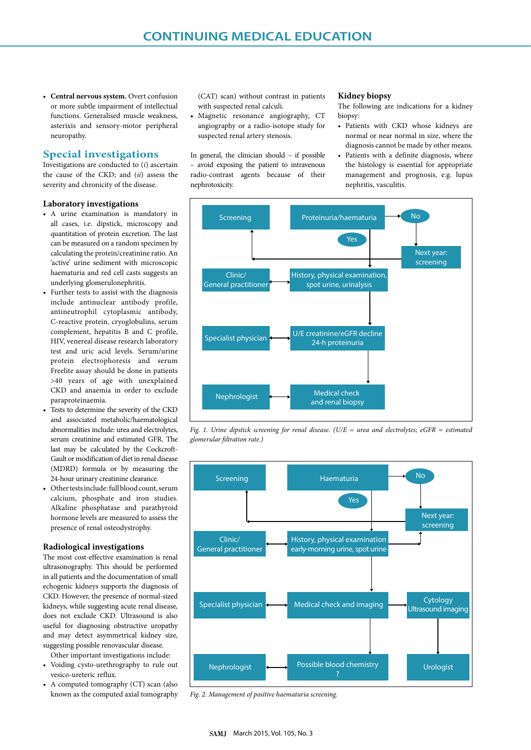• **Central nervous system.** Overt confusion or more subtle impairment of intellectual functions. Generalised muscle weakness, asterixis and sensory-motor peripheral neuropathy.

# **Special investigations**

Investigations are conducted to (*i*) ascertain the cause of the CKD; and (*ii*) assess the severity and chronicity of the disease.

## **Laboratory investigations**

- A urine examination is mandatory in all cases, i.e. dipstick, microscopy and quantitation of protein excretion. The last can be measured on a random specimen by calculating the protein/creatinine ratio. An 'active' urine sediment with microscopic haematuria and red cell casts suggests an underlying glomerulonephritis.
- Further tests to assist with the diagnosis include antinuclear antibody profile, antineutrophil cytoplasmic antibody, C-reactive protein, cryoglobulins, serum complement, hepatitis B and C profile, HIV, venereal disease research laboratory test and uric acid levels. Serum/urine protein electrophoresis and serum Freelite assay should be done in patients >40 years of age with unexplained CKD and anaemia in order to exclude paraproteinaemia.
- Tests to determine the severity of the CKD and associated metabolic/haematological abnormalities include: urea and electrolytes, serum creatinine and estimated GFR. The last may be calculated by the Cockcroft-Gault or modification of diet in renal disease (MDRD) formula or by measuring the 24-hour urinary creatinine clearance.
- Other tests include: full blood count, serum calcium, phosphate and iron studies. Alkaline phosphatase and parathyroid hormone levels are measured to assess the presence of renal osteodystrophy.

#### **Radiological investigations**

The most cost-effective examination is renal ultrasonography. This should be performed in all patients and the documentation of small echogenic kidneys supports the diagnosis of CKD. However, the presence of normal-sized kidneys, while suggesting acute renal disease, does not exclude CKD. Ultrasound is also useful for diagnosing obstructive uropathy and may detect asymmetrical kidney size, suggesting possible renovascular disease.

- Other important investigations include:
- Voiding cysto-urethrography to rule out vesico-ureteric reflux.
- A computed tomography (CT) scan (also known as the computed axial tomography

(CAT) scan) without contrast in patients with suspected renal calculi.

• Magnetic resonance angiography, CT angiography or a radio-isotope study for suspected renal artery stenosis.

In general, the clinician should – if possible – avoid exposing the patient to intravenous radio-contrast agents because of their nephrotoxicity.

#### **Kidney biopsy**

The following are indications for a kidney biopsy:

- Patients with CKD whose kidneys are normal or near normal in size, where the diagnosis cannot be made by other means.
- Patients with a definite diagnosis, where the histology is essential for appropriate management and prognosis, e.g. lupus nephritis, vasculitis.







*Fig. 2. Management of positive haematuria screening.*